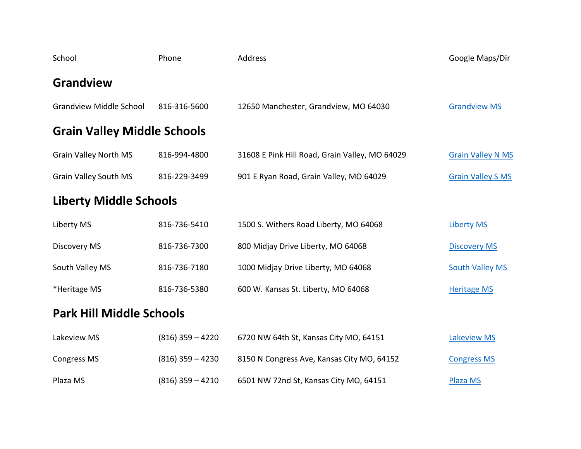| School                             | Phone        | Address                                        | Google Maps/Dir          |
|------------------------------------|--------------|------------------------------------------------|--------------------------|
| <b>Grandview</b>                   |              |                                                |                          |
| <b>Grandview Middle School</b>     | 816-316-5600 | 12650 Manchester, Grandview, MO 64030          | <b>Grandview MS</b>      |
| <b>Grain Valley Middle Schools</b> |              |                                                |                          |
| <b>Grain Valley North MS</b>       | 816-994-4800 | 31608 E Pink Hill Road, Grain Valley, MO 64029 | <b>Grain Valley N MS</b> |
| <b>Grain Valley South MS</b>       | 816-229-3499 | 901 E Ryan Road, Grain Valley, MO 64029        | <b>Grain Valley S MS</b> |
| <b>Liberty Middle Schools</b>      |              |                                                |                          |
| Liberty MS                         | 816-736-5410 | 1500 S. Withers Road Liberty, MO 64068         | <b>Liberty MS</b>        |
| Discovery MS                       | 816-736-7300 | 800 Midjay Drive Liberty, MO 64068             | <b>Discovery MS</b>      |
| South Valley MS                    | 816-736-7180 | 1000 Midjay Drive Liberty, MO 64068            | <b>South Valley MS</b>   |
| *Heritage MS                       | 816-736-5380 | 600 W. Kansas St. Liberty, MO 64068            | <b>Heritage MS</b>       |
| <b>Park Hill Middle Schools</b>    |              |                                                |                          |

| Lakeview MS | $(816)$ 359 - 4220 | 6720 NW 64th St, Kansas City MO, 64151     | <b>Lakeview MS</b> |  |
|-------------|--------------------|--------------------------------------------|--------------------|--|
| Congress MS | $(816)$ 359 - 4230 | 8150 N Congress Ave, Kansas City MO, 64152 | <b>Congress MS</b> |  |
| Plaza MS    | $(816)$ 359 - 4210 | 6501 NW 72nd St, Kansas City MO, 64151     | Plaza MS           |  |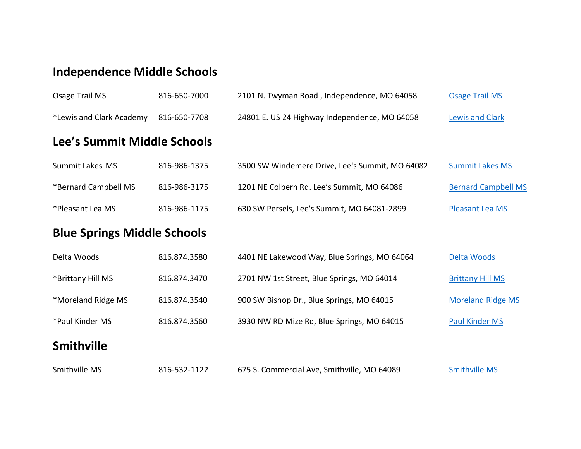## **Independence Middle Schools**

| Osage Trail MS                     | 816-650-7000 | 2101 N. Twyman Road, Independence, MO 64058     | <b>Osage Trail MS</b>      |
|------------------------------------|--------------|-------------------------------------------------|----------------------------|
| *Lewis and Clark Academy           | 816-650-7708 | 24801 E. US 24 Highway Independence, MO 64058   | <b>Lewis and Clark</b>     |
| Lee's Summit Middle Schools        |              |                                                 |                            |
| Summit Lakes MS                    | 816-986-1375 | 3500 SW Windemere Drive, Lee's Summit, MO 64082 | <b>Summit Lakes MS</b>     |
| *Bernard Campbell MS               | 816-986-3175 | 1201 NE Colbern Rd. Lee's Summit, MO 64086      | <b>Bernard Campbell MS</b> |
| *Pleasant Lea MS                   | 816-986-1175 | 630 SW Persels, Lee's Summit, MO 64081-2899     | Pleasant Lea MS            |
| <b>Blue Springs Middle Schools</b> |              |                                                 |                            |
| Delta Woods                        | 816.874.3580 | 4401 NE Lakewood Way, Blue Springs, MO 64064    | Delta Woods                |
| *Brittany Hill MS                  | 816.874.3470 | 2701 NW 1st Street, Blue Springs, MO 64014      | <b>Brittany Hill MS</b>    |
| *Moreland Ridge MS                 | 816.874.3540 | 900 SW Bishop Dr., Blue Springs, MO 64015       | <b>Moreland Ridge MS</b>   |
| *Paul Kinder MS                    | 816.874.3560 | 3930 NW RD Mize Rd, Blue Springs, MO 64015      | <b>Paul Kinder MS</b>      |
| <b>Smithville</b>                  |              |                                                 |                            |
| Smithville MS                      | 816-532-1122 | 675 S. Commercial Ave, Smithville, MO 64089     | <b>Smithville MS</b>       |